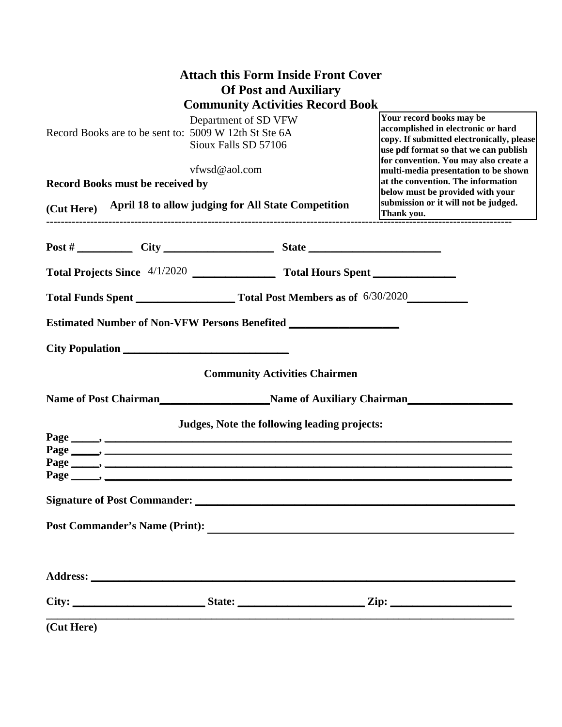|                                                                                                                                                                                                                                                                                |                                                                                  | <b>Attach this Form Inside Front Cover</b>   |  |                                                                                                                                                                                                                                                                                                                                                         |  |                                                                   |  |  |  |
|--------------------------------------------------------------------------------------------------------------------------------------------------------------------------------------------------------------------------------------------------------------------------------|----------------------------------------------------------------------------------|----------------------------------------------|--|---------------------------------------------------------------------------------------------------------------------------------------------------------------------------------------------------------------------------------------------------------------------------------------------------------------------------------------------------------|--|-------------------------------------------------------------------|--|--|--|
|                                                                                                                                                                                                                                                                                |                                                                                  | <b>Of Post and Auxiliary</b>                 |  |                                                                                                                                                                                                                                                                                                                                                         |  |                                                                   |  |  |  |
| <b>Community Activities Record Book</b><br>Department of SD VFW<br>Record Books are to be sent to: 5009 W 12th St Ste 6A<br>Sioux Falls SD 57106<br>vfwsd@aol.com<br><b>Record Books must be received by</b><br>(Cut Here) April 18 to allow judging for All State Competition |                                                                                  |                                              |  | Your record books may be<br>accomplished in electronic or hard<br>copy. If submitted electronically, please<br>use pdf format so that we can publish<br>for convention. You may also create a<br>multi-media presentation to be shown<br>at the convention. The information<br>below must be provided with your<br>submission or it will not be judged. |  |                                                                   |  |  |  |
|                                                                                                                                                                                                                                                                                |                                                                                  |                                              |  |                                                                                                                                                                                                                                                                                                                                                         |  | Post #                                                            |  |  |  |
|                                                                                                                                                                                                                                                                                |                                                                                  |                                              |  |                                                                                                                                                                                                                                                                                                                                                         |  | Total Projects Since 4/1/2020 Total Hours Spent Total Hours Spent |  |  |  |
|                                                                                                                                                                                                                                                                                |                                                                                  |                                              |  |                                                                                                                                                                                                                                                                                                                                                         |  |                                                                   |  |  |  |
|                                                                                                                                                                                                                                                                                | Estimated Number of Non-VFW Persons Benefited __________________________________ |                                              |  |                                                                                                                                                                                                                                                                                                                                                         |  |                                                                   |  |  |  |
|                                                                                                                                                                                                                                                                                |                                                                                  |                                              |  |                                                                                                                                                                                                                                                                                                                                                         |  |                                                                   |  |  |  |
|                                                                                                                                                                                                                                                                                |                                                                                  | <b>Community Activities Chairmen</b>         |  |                                                                                                                                                                                                                                                                                                                                                         |  |                                                                   |  |  |  |
|                                                                                                                                                                                                                                                                                |                                                                                  |                                              |  | Name of Post Chairman<br>Name of Auxiliary Chairman                                                                                                                                                                                                                                                                                                     |  |                                                                   |  |  |  |
|                                                                                                                                                                                                                                                                                |                                                                                  | Judges, Note the following leading projects: |  |                                                                                                                                                                                                                                                                                                                                                         |  |                                                                   |  |  |  |
| Page                                                                                                                                                                                                                                                                           |                                                                                  |                                              |  |                                                                                                                                                                                                                                                                                                                                                         |  |                                                                   |  |  |  |
|                                                                                                                                                                                                                                                                                |                                                                                  |                                              |  |                                                                                                                                                                                                                                                                                                                                                         |  |                                                                   |  |  |  |
|                                                                                                                                                                                                                                                                                |                                                                                  |                                              |  | Post Commander's Name (Print):                                                                                                                                                                                                                                                                                                                          |  |                                                                   |  |  |  |
|                                                                                                                                                                                                                                                                                |                                                                                  |                                              |  |                                                                                                                                                                                                                                                                                                                                                         |  |                                                                   |  |  |  |
|                                                                                                                                                                                                                                                                                |                                                                                  |                                              |  |                                                                                                                                                                                                                                                                                                                                                         |  |                                                                   |  |  |  |
|                                                                                                                                                                                                                                                                                | (Cut Here)                                                                       |                                              |  |                                                                                                                                                                                                                                                                                                                                                         |  |                                                                   |  |  |  |